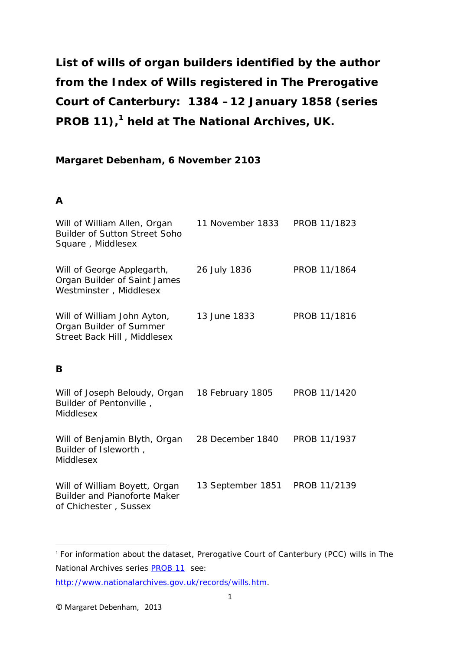**List of wills of organ builders identified by the author from the Index of Wills registered in The Prerogative Court of Canterbury: 1384 –12 January 1858 (series PROB 11), [1](#page-0-0) held at The National Archives, UK.**

### **Margaret Debenham, 6 November 2103**

### **A**

| Will of William Allen, Organ<br><b>Builder of Sutton Street Soho</b><br>Square, Middlesex     | 11 November 1833  | PROB 11/1823 |
|-----------------------------------------------------------------------------------------------|-------------------|--------------|
| Will of George Applegarth,<br>Organ Builder of Saint James<br>Westminster, Middlesex          | 26 July 1836      | PROB 11/1864 |
| Will of William John Ayton,<br>Organ Builder of Summer<br>Street Back Hill, Middlesex         | 13 June 1833      | PROB 11/1816 |
| B                                                                                             |                   |              |
| Will of Joseph Beloudy, Organ<br>Builder of Pentonville,<br>Middlesex                         | 18 February 1805  | PROB 11/1420 |
| Will of Benjamin Blyth, Organ<br>Builder of Isleworth,<br>Middlesex                           | 28 December 1840  | PROB 11/1937 |
| Will of William Boyett, Organ<br><b>Builder and Pianoforte Maker</b><br>of Chichester, Sussex | 13 September 1851 | PROB 11/2139 |

**.** 

<span id="page-0-0"></span><sup>1</sup> For information about the dataset, Prerogative Court of Canterbury (PCC) wills in The National Archives series [PROB 11](http://discovery.nationalarchives.gov.uk/SearchUI/browse/C12122) see:

[http://www.nationalarchives.gov.uk/records/wills.htm.](http://www.nationalarchives.gov.uk/records/wills.htm)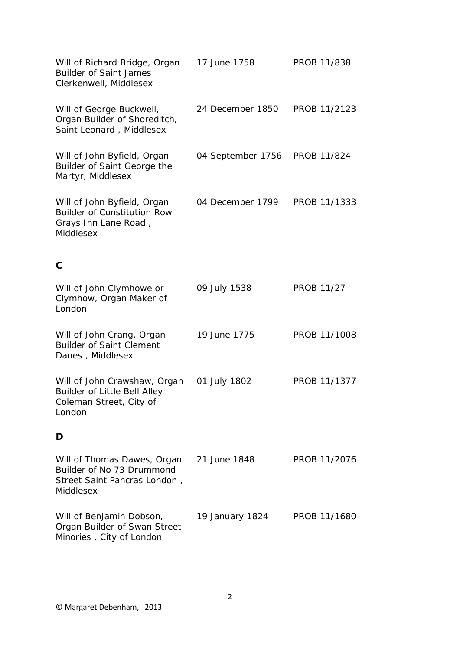| Will of Richard Bridge, Organ<br><b>Builder of Saint James</b><br>Clerkenwell, Middlesex               | 17 June 1758      | PROB 11/838       |
|--------------------------------------------------------------------------------------------------------|-------------------|-------------------|
| Will of George Buckwell,<br>Organ Builder of Shoreditch,<br>Saint Leonard, Middlesex                   | 24 December 1850  | PROB 11/2123      |
| Will of John Byfield, Organ<br>Builder of Saint George the<br>Martyr, Middlesex                        | 04 September 1756 | PROB 11/824       |
| Will of John Byfield, Organ<br><b>Builder of Constitution Row</b><br>Grays Inn Lane Road,<br>Middlesex | 04 December 1799  | PROB 11/1333      |
| $\mathbf C$                                                                                            |                   |                   |
| Will of John Clymhowe or<br>Clymhow, Organ Maker of<br>London                                          | 09 July 1538      | <b>PROB 11/27</b> |
| Will of John Crang, Organ<br><b>Builder of Saint Clement</b><br>Danes, Middlesex                       | 19 June 1775      | PROB 11/1008      |
| Will of John Crawshaw, Organ<br>Builder of Little Bell Alley<br>Coleman Street, City of<br>London      | 01 July 1802      | PROB 11/1377      |
| D                                                                                                      |                   |                   |
| Will of Thomas Dawes, Organ<br>Builder of No 73 Drummond<br>Street Saint Pancras London,<br>Middlesex  | 21 June 1848      | PROB 11/2076      |
| Will of Benjamin Dobson,<br>Organ Builder of Swan Street<br>Minories, City of London                   | 19 January 1824   | PROB 11/1680      |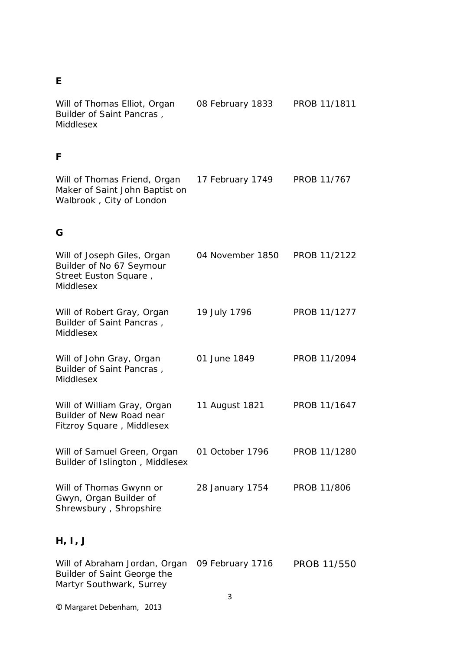## **E**

| Will of Thomas Elliot, Organ<br>Builder of Saint Pancras,<br>Middlesex                        | 08 February 1833 | PROB 11/1811 |
|-----------------------------------------------------------------------------------------------|------------------|--------------|
| F                                                                                             |                  |              |
| Will of Thomas Friend, Organ<br>Maker of Saint John Baptist on<br>Walbrook, City of London    | 17 February 1749 | PROB 11/767  |
| G                                                                                             |                  |              |
| Will of Joseph Giles, Organ<br>Builder of No 67 Seymour<br>Street Euston Square,<br>Middlesex | 04 November 1850 | PROB 11/2122 |
| Will of Robert Gray, Organ<br>Builder of Saint Pancras,<br>Middlesex                          | 19 July 1796     | PROB 11/1277 |
| Will of John Gray, Organ<br>Builder of Saint Pancras,<br>Middlesex                            | 01 June 1849     | PROB 11/2094 |
| Will of William Gray, Organ<br>Builder of New Road near<br>Fitzroy Square, Middlesex          | 11 August 1821   | PROB 11/1647 |
| Will of Samuel Green, Organ<br>Builder of Islington, Middlesex                                | 01 October 1796  | PROB 11/1280 |
| Will of Thomas Gwynn or<br>Gwyn, Organ Builder of<br>Shrewsbury, Shropshire                   | 28 January 1754  | PROB 11/806  |

# **H, I, J**

| Will of Abraham Jordan, Organ 09 February 1716 | <b>PROB 11/550</b> |
|------------------------------------------------|--------------------|
| Builder of Saint George the                    |                    |
| Martyr Southwark, Surrey                       |                    |
|                                                |                    |

© Margaret Debenham, 2013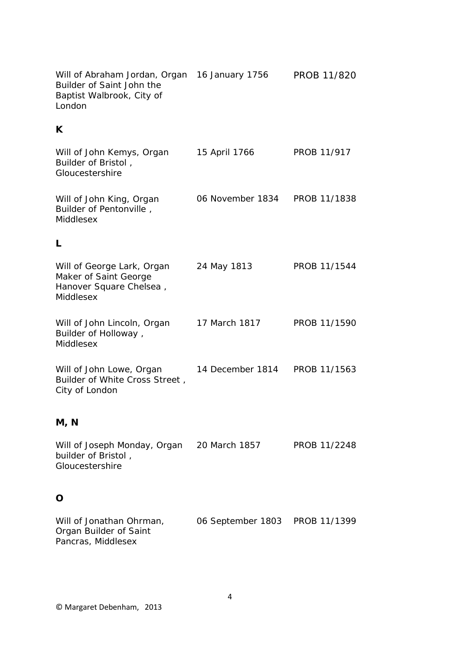Will of Abraham Jordan, Organ 16 January 1756 PROB 11/820 Builder of Saint John the Baptist Walbrook, City of London

### **K**

| Will of John Kemys, Organ<br>Builder of Bristol,<br>Gloucestershire                         | 15 April 1766    | PROB 11/917  |
|---------------------------------------------------------------------------------------------|------------------|--------------|
| Will of John King, Organ<br>Builder of Pentonville,<br>Middlesex                            | 06 November 1834 | PROB 11/1838 |
| L                                                                                           |                  |              |
| Will of George Lark, Organ<br>Maker of Saint George<br>Hanover Square Chelsea,<br>Middlesex | 24 May 1813      | PROB 11/1544 |
| Will of John Lincoln, Organ<br>Builder of Holloway,<br>Middlesex                            | 17 March 1817    | PROB 11/1590 |
| Will of John Lowe, Organ<br>Builder of White Cross Street,<br>City of London                | 14 December 1814 | PROB 11/1563 |
| M, N                                                                                        |                  |              |
| Will of Joseph Monday, Organ<br>builder of Bristol,<br>Gloucestershire                      | 20 March 1857    | PROB 11/2248 |
| O                                                                                           |                  |              |

Will of Jonathan Ohrman, 06 September 1803 PROB 11/1399Organ Builder of Saint Pancras, Middlesex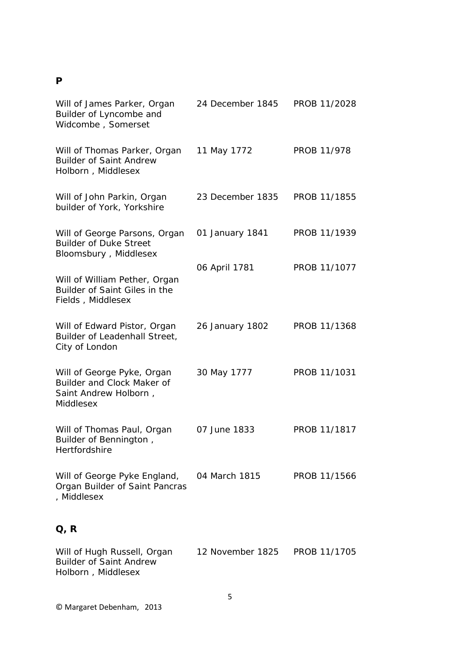### **P**

| Will of James Parker, Organ<br>Builder of Lyncombe and<br>Widcombe, Somerset                   | 24 December 1845 | PROB 11/2028 |
|------------------------------------------------------------------------------------------------|------------------|--------------|
| Will of Thomas Parker, Organ<br><b>Builder of Saint Andrew</b><br>Holborn, Middlesex           | 11 May 1772      | PROB 11/978  |
| Will of John Parkin, Organ<br>builder of York, Yorkshire                                       | 23 December 1835 | PROB 11/1855 |
| Will of George Parsons, Organ<br><b>Builder of Duke Street</b><br>Bloomsbury, Middlesex        | 01 January 1841  | PROB 11/1939 |
| Will of William Pether, Organ<br>Builder of Saint Giles in the<br>Fields, Middlesex            | 06 April 1781    | PROB 11/1077 |
| Will of Edward Pistor, Organ<br>Builder of Leadenhall Street,<br>City of London                | 26 January 1802  | PROB 11/1368 |
| Will of George Pyke, Organ<br>Builder and Clock Maker of<br>Saint Andrew Holborn,<br>Middlesex | 30 May 1777      | PROB 11/1031 |
| Will of Thomas Paul, Organ<br>Builder of Bennington,<br>Hertfordshire                          | 07 June 1833     | PROB 11/1817 |
| Will of George Pyke England,<br>Organ Builder of Saint Pancras<br>, Middlesex                  | 04 March 1815    | PROB 11/1566 |
| Q, R                                                                                           |                  |              |
| Will of Hugh Russell, Organ<br><b>Builder of Saint Andrew</b>                                  | 12 November 1825 | PROB 11/1705 |

© Margaret Debenham, 2013

Holborn , Middlesex